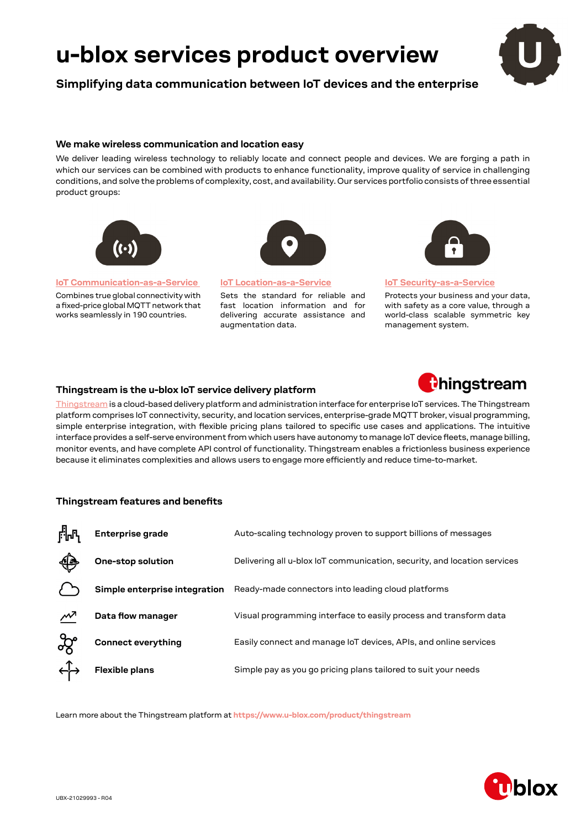# **u-blox services product overview**

**Simplifying data communication between IoT devices and the enterprise**

# **We make wireless communication and location easy**

We deliver leading wireless technology to reliably locate and connect people and devices. We are forging a path in which our services can be combined with products to enhance functionality, improve quality of service in challenging conditions, and solve the problems of complexity, cost, and availability. Our services portfolio consists of three essential product groups:



**[IoT Communication-as-a-Service](https://www.u-blox.com/iot-communication-service)** 

Combines true global connectivity with a fixed-price global MQTT network that works seamlessly in 190 countries.

**[IoT Location-as-a-Service](https://www.u-blox.com/iot-location-service)**

Sets the standard for reliable and fast location information and for delivering accurate assistance and augmentation data.



#### **[IoT Security-as-a-Service](https://www.u-blox.com/iot-security-service)**

Protects your business and your data, with safety as a core value, through a world-class scalable symmetric key management system.

# **Thingstream is the u-blox IoT service delivery platform**



[Thingstream](https://www.u-blox.com/product/thingstream) is a cloud-based delivery platform and administration interface for enterprise IoT services. The Thingstream platform comprises IoT connectivity, security, and location services, enterprise-grade MQTT broker, visual programming, simple enterprise integration, with flexible pricing plans tailored to specific use cases and applications. The intuitive interface provides a self-serve environment from which users have autonomy to manage IoT device fleets, manage billing, monitor events, and have complete API control of functionality. Thingstream enables a frictionless business experience because it eliminates complexities and allows users to engage more efficiently and reduce time-to-market.

# **Thingstream features and benefits**

| ▞ᡀ <sub>ᡗ</sub> | Enterprise grade              | Auto-scaling technology proven to support billions of messages           |
|-----------------|-------------------------------|--------------------------------------------------------------------------|
| ∰               | One-stop solution             | Delivering all u-blox loT communication, security, and location services |
|                 | Simple enterprise integration | Ready-made connectors into leading cloud platforms                       |
| ∼               | Data flow manager             | Visual programming interface to easily process and transform data        |
|                 | <b>Connect everything</b>     | Easily connect and manage IoT devices, APIs, and online services         |
|                 | <b>Flexible plans</b>         | Simple pay as you go pricing plans tailored to suit your needs           |

Learn more about the Thingstream platform at **<https://www.u-blox.com/product/thingstream>**

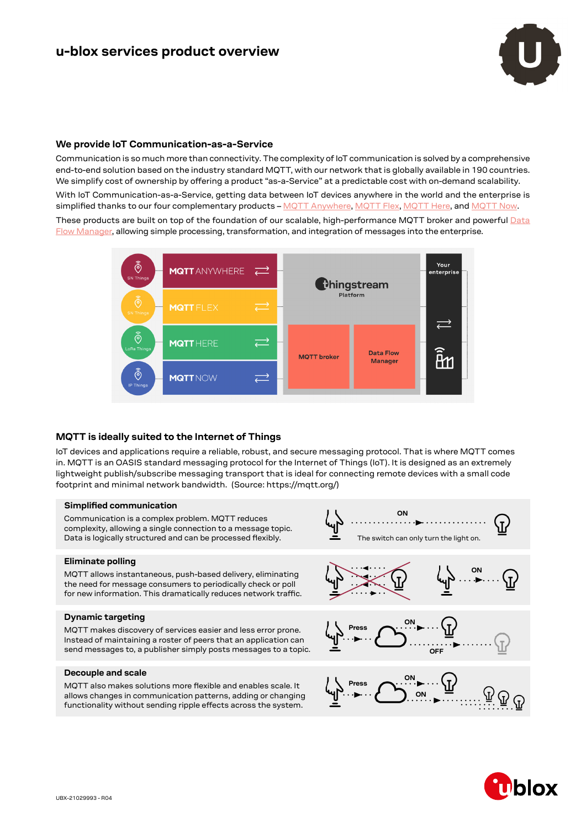

# **We provide IoT Communication-as-a-Service**

Communication is so much more than connectivity. The complexity of IoT communication is solved by a comprehensive end-to-end solution based on the industry standard MQTT, with our network that is globally available in 190 countries. We simplify cost of ownership by offering a product "as-a-Service" at a predictable cost with on-demand scalability. With IoT Communication-as-a-Service, getting data between IoT devices anywhere in the world and the enterprise is simplified thanks to our four complementary products – [MQTT Anywhere,](https://www.u-blox.com/product/mqtt-anywhere) [MQTT Flex,](https://www.u-blox.com/product/mqtt-flex) [MQTT Here](https://www.u-blox.com/product/mqtt-here), and [MQTT Now.](https://www.u-blox.com/product/mqtt-now) These products are built on top of the foundation of our scalable, high-performance MQTT broker and powerful [Data](https://www.u-blox.com/data-flow-manager)  [Flow Manager,](https://www.u-blox.com/data-flow-manager) allowing simple processing, transformation, and integration of messages into the enterprise.



# **MQTT is ideally suited to the Internet of Things**

IoT devices and applications require a reliable, robust, and secure messaging protocol. That is where MQTT comes in. MQTT is an OASIS standard messaging protocol for the Internet of Things (IoT). It is designed as an extremely lightweight publish/subscribe messaging transport that is ideal for connecting remote devices with a small code footprint and minimal network bandwidth. (Source: https://mqtt.org/)

#### **Simplified communication**

Communication is a complex problem. MQTT reduces complexity, allowing a single connection to a message topic. Data is logically structured and can be processed flexibly. The switch can only turn the light on.

#### **Eliminate polling**

MQTT allows instantaneous, push-based delivery, eliminating the need for message consumers to periodically check or poll for new information. This dramatically reduces network traffic.

#### **Dynamic targeting**

MQTT makes discovery of services easier and less error prone. Instead of maintaining a roster of peers that an application can send messages to, a publisher simply posts messages to a topic.

### **Decouple and scale**

MQTT also makes solutions more flexible and enables scale. It allows changes in communication patterns, adding or changing functionality without sending ripple effects across the system.



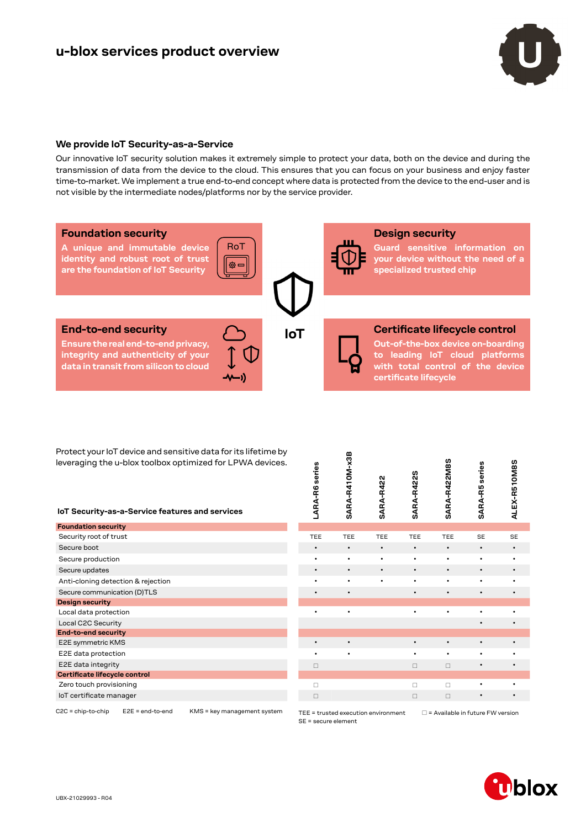

# **We provide IoT Security-as-a-Service**

Our innovative IoT security solution makes it extremely simple to protect your data, both on the device and during the transmission of data from the device to the cloud. This ensures that you can focus on your business and enjoy faster time-to-market. We implement a true end-to-end concept where data is protected from the device to the end-user and is not visible by the intermediate nodes/platforms nor by the service provider.



Protect your IoT device and sensitive data for its lifetime by leveraging the u-blox toolbox optimized for LPWA devices.

| Protect your for device and sensitive data for its inetime by<br>leveraging the u-blox toolbox optimized for LPWA devices.<br>IoT Security-as-a-Service features and services |  |  | series<br>LARA-R6                   | SARA-R410M-x3B | <b>SARA-R422</b> | SARA-R422S | SARA-R422M8S                            | series<br>SARA-R5 | ALEX-R510M8S |  |
|-------------------------------------------------------------------------------------------------------------------------------------------------------------------------------|--|--|-------------------------------------|----------------|------------------|------------|-----------------------------------------|-------------------|--------------|--|
| <b>Foundation security</b>                                                                                                                                                    |  |  |                                     |                |                  |            |                                         |                   |              |  |
| Security root of trust                                                                                                                                                        |  |  | <b>TEE</b>                          | <b>TEE</b>     | TEE              | <b>TEE</b> | TEE                                     | <b>SE</b>         | <b>SE</b>    |  |
| Secure boot                                                                                                                                                                   |  |  | $\bullet$                           | $\bullet$      | $\bullet$        | $\bullet$  | $\bullet$                               | $\bullet$         | $\bullet$    |  |
| Secure production                                                                                                                                                             |  |  | ٠                                   | $\bullet$      | $\bullet$        | ٠          | ٠                                       | ٠                 | $\bullet$    |  |
| Secure updates                                                                                                                                                                |  |  | $\bullet$                           | $\bullet$      | $\bullet$        | $\bullet$  | $\bullet$                               | $\bullet$         | $\bullet$    |  |
| Anti-cloning detection & rejection                                                                                                                                            |  |  | $\bullet$                           | $\bullet$      | $\bullet$        | ٠          | ٠                                       | ٠                 | $\bullet$    |  |
| Secure communication (D)TLS                                                                                                                                                   |  |  | $\bullet$                           | $\bullet$      |                  |            |                                         | $\bullet$         | $\bullet$    |  |
| <b>Design security</b>                                                                                                                                                        |  |  |                                     |                |                  |            |                                         |                   |              |  |
| Local data protection                                                                                                                                                         |  |  |                                     | $\bullet$      |                  | ٠          | ٠                                       | ٠                 | $\bullet$    |  |
| Local C2C Security                                                                                                                                                            |  |  |                                     |                |                  |            |                                         | $\bullet$         | $\bullet$    |  |
| <b>End-to-end security</b>                                                                                                                                                    |  |  |                                     |                |                  |            |                                         |                   |              |  |
| E2E symmetric KMS                                                                                                                                                             |  |  | $\bullet$                           | $\bullet$      |                  | $\bullet$  | $\bullet$                               | $\bullet$         | $\bullet$    |  |
| E2E data protection                                                                                                                                                           |  |  | ٠                                   | $\bullet$      |                  | ٠          | ٠                                       | ٠                 | $\bullet$    |  |
| E2E data integrity                                                                                                                                                            |  |  | $\Box$                              |                |                  | $\Box$     | $\Box$                                  | $\bullet$         | $\bullet$    |  |
| Certificate lifecycle control                                                                                                                                                 |  |  |                                     |                |                  |            |                                         |                   |              |  |
| Zero touch provisioning                                                                                                                                                       |  |  |                                     |                |                  | $\Box$     | $\Box$                                  | ٠                 | $\bullet$    |  |
| loT certificate manager                                                                                                                                                       |  |  | $\Box$                              |                |                  | $\Box$     | $\Box$                                  | $\bullet$         | $\bullet$    |  |
| $E2E = end-to-end$<br>$C2C =$ chip-to-chip<br>KMS = key management system                                                                                                     |  |  | TEE = trusted execution environment |                |                  |            | $\Box$ = Available in future FW version |                   |              |  |

SE = secure element